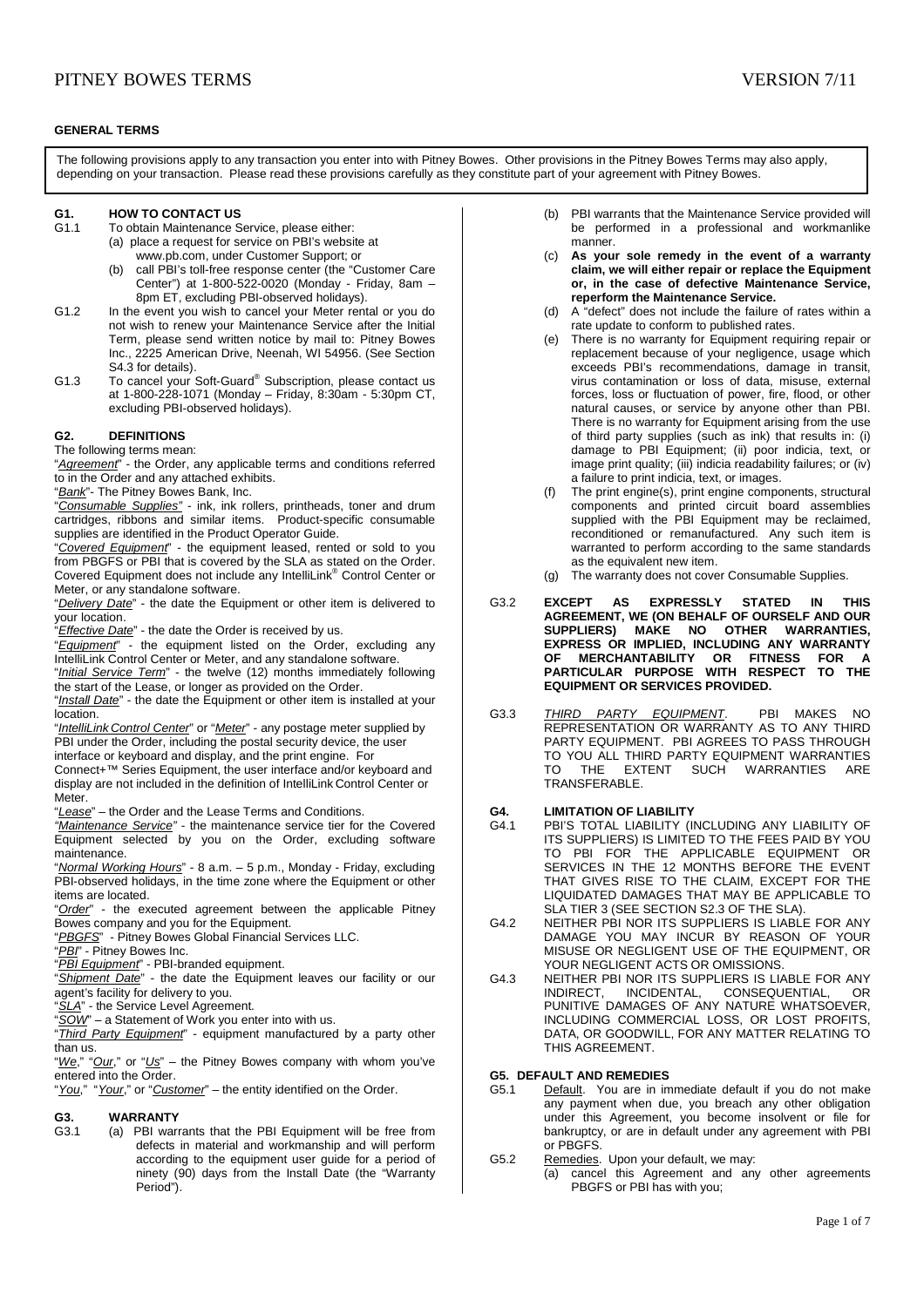## **GENERAL TERMS**

The following provisions apply to any transaction you enter into with Pitney Bowes. Other provisions in the Pitney Bowes Terms may also apply, depending on your transaction. Please read these provisions carefully as they constitute part of your agreement with Pitney Bowes.

# **G1. HOW TO CONTACT US**<br>**G1.1** To obtain Maintenance S

- To obtain Maintenance Service, please either: (a) place a request for service on PBI's website at
	- www.pb.com, under Customer Support; or (b) call PBI's toll-free response center (the "Customer Care Center") at 1-800-522-0020 (Monday - Friday, 8am – 8pm ET, excluding PBI-observed holidays).
- G1.2 In the event you wish to cancel your Meter rental or you do not wish to renew your Maintenance Service after the Initial Term, please send written notice by mail to: Pitney Bowes Inc., 2225 American Drive, Neenah, WI 54956. (See Section S4.3 for details).
- G1.3 To cancel your Soft-Guard® Subscription, please contact us at 1-800-228-1071 (Monday – Friday, 8:30am - 5:30pm CT, excluding PBI-observed holidays).

# **G2. DEFINITIONS**

# The following terms mean:

"Agreement" - the Order, any applicable terms and conditions referred to in the Order and any attached exhibits.

"Bank"- The Pitney Bowes Bank, Inc.

"Consumable Supplies" - ink, ink rollers, printheads, toner and drum cartridges, ribbons and similar items. Product-specific consumable supplies are identified in the Product Operator Guide.

"Covered Equipment" - the equipment leased, rented or sold to you from PBGFS or PBI that is covered by the SLA as stated on the Order. Covered Equipment does not include any IntelliLink® Control Center or Meter, or any standalone software.

"Delivery Date" - the date the Equipment or other item is delivered to your location.

"*Effective Date*" - the date the Order is received by us.

"Equipment" - the equipment listed on the Order, excluding any IntelliLink Control Center or Meter, and any standalone software.

"Initial Service Term" - the twelve (12) months immediately following the start of the Lease, or longer as provided on the Order.

"Install Date" - the date the Equipment or other item is installed at your location.

"IntelliLink Control Center" or "Meter" - any postage meter supplied by PBI under the Order, including the postal security device, the user interface or keyboard and display, and the print engine. For

Connect+™ Series Equipment, the user interface and/or keyboard and display are not included in the definition of IntelliLink Control Center or Meter.

"Lease" – the Order and the Lease Terms and Conditions.

"Maintenance Service" - the maintenance service tier for the Covered Equipment selected by you on the Order, excluding software maintenance.

"Normal Working Hours" - 8 a.m. – 5 p.m., Monday - Friday, excluding PBI-observed holidays, in the time zone where the Equipment or other items are located.

"Order" - the executed agreement between the applicable Pitney Bowes company and you for the Equipment.

"PBGFS" - Pitney Bowes Global Financial Services LLC.

PBI" - Pitney Bowes Inc.

"**PBI Equipment**" - PBI-branded equipment.

"Shipment Date" - the date the Equipment leaves our facility or our agent's facility for delivery to you.

"SLA" - the Service Level Agreement.

 $\overline{SOW}$  – a Statement of Work you enter into with us.

"Third Party Equipment" - equipment manufactured by a party other than us.

"We," "Our," or "Us" – the Pitney Bowes company with whom you've entered into the Order.

"You," "Your," or "Customer" – the entity identified on the Order.

# **G3. WARRANTY**

G3.1 (a) PBI warrants that the PBI Equipment will be free from defects in material and workmanship and will perform according to the equipment user guide for a period of ninety (90) days from the Install Date (the "Warranty Period").

- (b) PBI warrants that the Maintenance Service provided will be performed in a professional and workmanlike manner.
- (c) **As your sole remedy in the event of a warranty claim, we will either repair or replace the Equipment or, in the case of defective Maintenance Service, reperform the Maintenance Service.**
- (d) A "defect" does not include the failure of rates within a rate update to conform to published rates.
- (e) There is no warranty for Equipment requiring repair or replacement because of your negligence, usage which exceeds PBI's recommendations, damage in transit, virus contamination or loss of data, misuse, external forces, loss or fluctuation of power, fire, flood, or other natural causes, or service by anyone other than PBI. There is no warranty for Equipment arising from the use of third party supplies (such as ink) that results in: (i) damage to PBI Equipment; (ii) poor indicia, text, or image print quality; (iii) indicia readability failures; or (iv) a failure to print indicia, text, or images.
- (f) The print engine(s), print engine components, structural components and printed circuit board assemblies supplied with the PBI Equipment may be reclaimed, reconditioned or remanufactured. Any such item is warranted to perform according to the same standards as the equivalent new item.
- (g) The warranty does not cover Consumable Supplies.
- G3.2 **EXCEPT AS EXPRESSLY STATED IN THIS AGREEMENT, WE (ON BEHALF OF OURSELF AND OUR SUPPLIERS) MAKE NO OTHER WARRANTIES, EXPRESS OR IMPLIED, INCLUDING ANY WARRANTY OF MERCHANTABILITY OR FITNESS FOR A PARTICULAR PURPOSE WITH RESPECT TO THE EQUIPMENT OR SERVICES PROVIDED.**
- G3.3 THIRD PARTY EQUIPMENT. PBI MAKES NO REPRESENTATION OR WARRANTY AS TO ANY THIRD PARTY EQUIPMENT. PBI AGREES TO PASS THROUGH TO YOU ALL THIRD PARTY EQUIPMENT WARRANTIES<br>TO THE EXTENT SUCH WARRANTIES ARE **WARRANTIES** TRANSFERABLE.

## **G4. LIMITATION OF LIABILITY**

- G4.1 PBI'S TOTAL LIABILITY (INCLUDING ANY LIABILITY OF ITS SUPPLIERS) IS LIMITED TO THE FEES PAID BY YOU TO PBI FOR THE APPLICABLE EQUIPMENT OR SERVICES IN THE 12 MONTHS BEFORE THE EVENT THAT GIVES RISE TO THE CLAIM, EXCEPT FOR THE LIQUIDATED DAMAGES THAT MAY BE APPLICABLE TO SLA TIER 3 (SEE SECTION S2.3 OF THE SLA).
- G4.2 NEITHER PBI NOR ITS SUPPLIERS IS LIABLE FOR ANY DAMAGE YOU MAY INCUR BY REASON OF YOUR MISUSE OR NEGLIGENT USE OF THE EQUIPMENT, OR YOUR NEGLIGENT ACTS OR OMISSIONS.
- G4.3 NEITHER PBI NOR ITS SUPPLIERS IS LIABLE FOR ANY INDIRECT, INCIDENTAL, CONSEQUENTIAL, OR PUNITIVE DAMAGES OF ANY NATURE WHATSOEVER, INCLUDING COMMERCIAL LOSS, OR LOST PROFITS, DATA, OR GOODWILL, FOR ANY MATTER RELATING TO THIS AGREEMENT.

# **G5. DEFAULT AND REMEDIES**

- G5.1 Default. You are in immediate default if you do not make any payment when due, you breach any other obligation under this Agreement, you become insolvent or file for bankruptcy, or are in default under any agreement with PBI or PBGFS.
- G5.2 Remedies. Upon your default, we may:
	- (a) cancel this Agreement and any other agreements PBGFS or PBI has with you;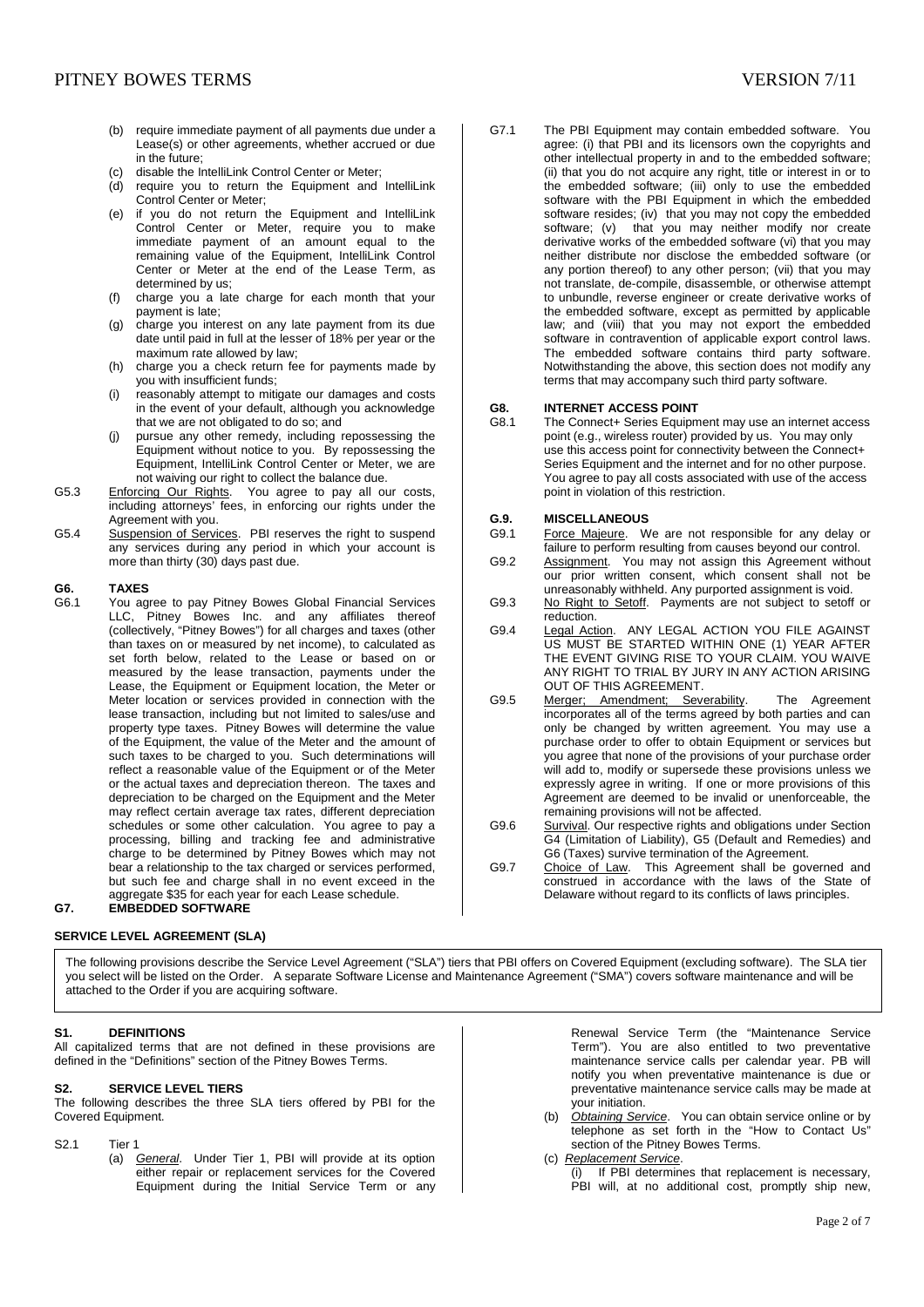- (b) require immediate payment of all payments due under a Lease(s) or other agreements, whether accrued or due in the future;
- (c) disable the IntelliLink Control Center or Meter;
- (d) require you to return the Equipment and IntelliLink Control Center or Meter;
- (e) if you do not return the Equipment and IntelliLink Control Center or Meter, require you to make immediate payment of an amount equal to the remaining value of the Equipment, IntelliLink Control Center or Meter at the end of the Lease Term, as determined by us;
- (f) charge you a late charge for each month that your payment is late;
- (g) charge you interest on any late payment from its due date until paid in full at the lesser of 18% per year or the maximum rate allowed by law;
- (h) charge you a check return fee for payments made by you with insufficient funds;
- (i) reasonably attempt to mitigate our damages and costs in the event of your default, although you acknowledge that we are not obligated to do so; and
- (j) pursue any other remedy, including repossessing the Equipment without notice to you. By repossessing the Equipment, IntelliLink Control Center or Meter, we are not waiving our right to collect the balance due.
- G5.3 Enforcing Our Rights. You agree to pay all our costs, including attorneys' fees, in enforcing our rights under the Agreement with you.
- G5.4 Suspension of Services. PBI reserves the right to suspend any services during any period in which your account is more than thirty (30) days past due.

# **G6. TAXES**<br> **G6.1 You an**

You agree to pay Pitney Bowes Global Financial Services LLC, Pitney Bowes Inc. and any affiliates thereof (collectively, "Pitney Bowes") for all charges and taxes (other than taxes on or measured by net income), to calculated as set forth below, related to the Lease or based on or measured by the lease transaction, payments under the Lease, the Equipment or Equipment location, the Meter or Meter location or services provided in connection with the lease transaction, including but not limited to sales/use and property type taxes. Pitney Bowes will determine the value of the Equipment, the value of the Meter and the amount of such taxes to be charged to you. Such determinations will reflect a reasonable value of the Equipment or of the Meter or the actual taxes and depreciation thereon. The taxes and depreciation to be charged on the Equipment and the Meter may reflect certain average tax rates, different depreciation schedules or some other calculation. You agree to pay a processing, billing and tracking fee and administrative charge to be determined by Pitney Bowes which may not bear a relationship to the tax charged or services performed, but such fee and charge shall in no event exceed in the aggregate \$35 for each year for each Lease schedule. **G7. EMBEDDED SOFTWARE** 

# **SERVICE LEVEL AGREEMENT (SLA)**

The following provisions describe the Service Level Agreement ("SLA") tiers that PBI offers on Covered Equipment (excluding software). The SLA tier you select will be listed on the Order. A separate Software License and Maintenance Agreement ("SMA") covers software maintenance and will be attached to the Order if you are acquiring software.

# **S1. DEFINITIONS**

All capitalized terms that are not defined in these provisions are defined in the "Definitions" section of the Pitney Bowes Terms.

### **S2. SERVICE LEVEL TIERS**

The following describes the three SLA tiers offered by PBI for the Covered Equipment.

- S2.1 Tier 1
	- (a) General. Under Tier 1, PBI will provide at its option either repair or replacement services for the Covered Equipment during the Initial Service Term or any

G7.1 The PBI Equipment may contain embedded software. You agree: (i) that PBI and its licensors own the copyrights and other intellectual property in and to the embedded software; (ii) that you do not acquire any right, title or interest in or to the embedded software; (iii) only to use the embedded software with the PBI Equipment in which the embedded software resides; (iv) that you may not copy the embedded software; (v) that you may neither modify nor create derivative works of the embedded software (vi) that you may neither distribute nor disclose the embedded software (or any portion thereof) to any other person; (vii) that you may not translate, de-compile, disassemble, or otherwise attempt to unbundle, reverse engineer or create derivative works of the embedded software, except as permitted by applicable law; and (viii) that you may not export the embedded software in contravention of applicable export control laws. The embedded software contains third party software. Notwithstanding the above, this section does not modify any terms that may accompany such third party software.

# **G8. INTERNET ACCESS POINT**<br>G8.1 The Connect+ Series Equipm

The Connect+ Series Equipment may use an internet access point (e.g., wireless router) provided by us. You may only use this access point for connectivity between the Connect+ Series Equipment and the internet and for no other purpose. You agree to pay all costs associated with use of the access point in violation of this restriction.

# **G.9. MISCELLANEOUS**

- G9.1 Force Majeure. We are not responsible for any delay or failure to perform resulting from causes beyond our control.
- G9.2 Assignment. You may not assign this Agreement without our prior written consent, which consent shall not be unreasonably withheld. Any purported assignment is void.
- G9.3 No Right to Setoff. Payments are not subject to setoff or reduction.
- G9.4 Legal Action. ANY LEGAL ACTION YOU FILE AGAINST US MUST BE STARTED WITHIN ONE (1) YEAR AFTER THE EVENT GIVING RISE TO YOUR CLAIM. YOU WAIVE ANY RIGHT TO TRIAL BY JURY IN ANY ACTION ARISING OUT OF THIS AGREEMENT.
- G9.5 Merger; Amendment; Severability. The Agreement incorporates all of the terms agreed by both parties and can only be changed by written agreement. You may use a purchase order to offer to obtain Equipment or services but you agree that none of the provisions of your purchase order will add to, modify or supersede these provisions unless we expressly agree in writing. If one or more provisions of this Agreement are deemed to be invalid or unenforceable, the remaining provisions will not be affected.
- G9.6 Survival. Our respective rights and obligations under Section G4 (Limitation of Liability), G5 (Default and Remedies) and G6 (Taxes) survive termination of the Agreement.
- G9.7 Choice of Law. This Agreement shall be governed and construed in accordance with the laws of the State of Delaware without regard to its conflicts of laws principles.

Renewal Service Term (the "Maintenance Service Term"). You are also entitled to two preventative maintenance service calls per calendar year. PB will notify you when preventative maintenance is due or preventative maintenance service calls may be made at your initiation.

- (b) *Obtaining Service*. You can obtain service online or by telephone as set forth in the "How to Contact Us" section of the Pitney Bowes Terms.
	- (c) Replacement Service.

If PBI determines that replacement is necessary, PBI will, at no additional cost, promptly ship new,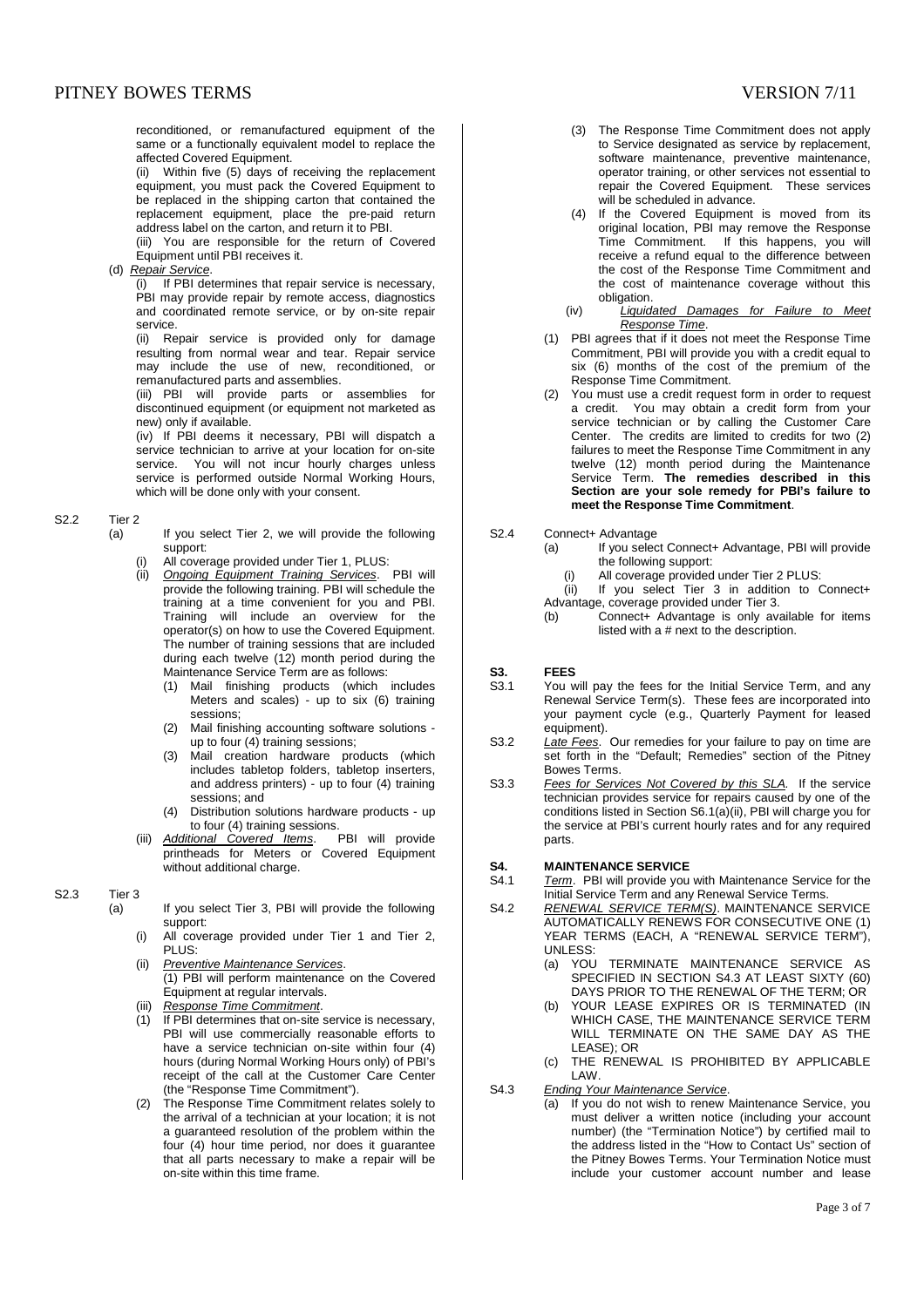# PITNEY BOWES TERMS SERVES TRANSFORM SUPERVIEWS AND THE SERVER SERVER SERVER SERVER SERVER SERVER SERVER SERVER SERVER SERVER SERVER SERVER SERVER SERVER SERVER SERVER SERVER SERVER SERVER SERVER SERVER SERVER SERVER SERVER

reconditioned, or remanufactured equipment of the same or a functionally equivalent model to replace the affected Covered Equipment.

(ii) Within five (5) days of receiving the replacement equipment, you must pack the Covered Equipment to be replaced in the shipping carton that contained the replacement equipment, place the pre-paid return address label on the carton, and return it to PBI.

(iii) You are responsible for the return of Covered Equipment until PBI receives it.

### (d) Repair Service.

(i) If PBI determines that repair service is necessary, PBI may provide repair by remote access, diagnostics and coordinated remote service, or by on-site repair service.

(ii) Repair service is provided only for damage resulting from normal wear and tear. Repair service may include the use of new, reconditioned, or remanufactured parts and assemblies.

(iii) PBI will provide parts or assemblies for discontinued equipment (or equipment not marketed as new) only if available.

(iv) If PBI deems it necessary, PBI will dispatch a service technician to arrive at your location for on-site service. You will not incur hourly charges unless service is performed outside Normal Working Hours, which will be done only with your consent.

S2.2 Tier 2

- (a) If you select Tier 2, we will provide the following support:
	- All coverage provided under Tier 1, PLUS:
	- (ii) Ongoing Equipment Training Services. PBI will provide the following training. PBI will schedule the training at a time convenient for you and PBI. Training will include an overview for the operator(s) on how to use the Covered Equipment. The number of training sessions that are included during each twelve (12) month period during the Maintenance Service Term are as follows:
		- (1) Mail finishing products (which includes Meters and scales) - up to six (6) training sessions;
		- (2) Mail finishing accounting software solutions up to four (4) training sessions;
		- (3) Mail creation hardware products (which includes tabletop folders, tabletop inserters, and address printers) - up to four (4) training sessions; and
		- (4) Distribution solutions hardware products up
	- to four (4) training sessions.<br>tional Covered Items. PBI will provide (iii) Additional Covered Items. printheads for Meters or Covered Equipment without additional charge.

# S2.3 Tier 3

- (a) If you select Tier 3, PBI will provide the following support:
	- (i) All coverage provided under Tier 1 and Tier 2, PLUS:
	- (ii) Preventive Maintenance Services. (1) PBI will perform maintenance on the Covered Equipment at regular intervals.
	- (iii) Response Time Commitment.<br>(1) If PBI determines that on-site
	- If PBI determines that on-site service is necessary, PBI will use commercially reasonable efforts to have a service technician on-site within four (4) hours (during Normal Working Hours only) of PBI's receipt of the call at the Customer Care Center (the "Response Time Commitment").
	- (2) The Response Time Commitment relates solely to the arrival of a technician at your location; it is not a guaranteed resolution of the problem within the four (4) hour time period, nor does it guarantee that all parts necessary to make a repair will be on-site within this time frame.
- (3) The Response Time Commitment does not apply to Service designated as service by replacement, software maintenance, preventive maintenance, operator training, or other services not essential to repair the Covered Equipment. These services will be scheduled in advance.
- (4) If the Covered Equipment is moved from its original location, PBI may remove the Response Time Commitment. If this happens, you will receive a refund equal to the difference between the cost of the Response Time Commitment and the cost of maintenance coverage without this obligation.
- (iv) Liquidated Damages for Failure to Meet Response Time.
- (1) PBI agrees that if it does not meet the Response Time Commitment, PBI will provide you with a credit equal to six (6) months of the cost of the premium of the Response Time Commitment.
- (2) You must use a credit request form in order to request a credit. You may obtain a credit form from your service technician or by calling the Customer Care Center. The credits are limited to credits for two (2) failures to meet the Response Time Commitment in any twelve (12) month period during the Maintenance Service Term. **The remedies described in this Section are your sole remedy for PBI's failure to meet the Response Time Commitment**.

# S2.4 Connect+ Advantage

- (a) If you select Connect+ Advantage, PBI will provide the following support:
	- (i) All coverage provided under Tier 2 PLUS:
	- $(iii)$  If you select Tier 3 in addition to Connect+ Advantage, coverage provided under Tier 3.
	- (b) Connect+ Advantage is only available for items listed with a # next to the description.

# **S3. FEES**<br>S3.1 YOU M

- You will pay the fees for the Initial Service Term, and any Renewal Service Term(s). These fees are incorporated into your payment cycle (e.g., Quarterly Payment for leased equipment).
- S3.2 Late Fees. Our remedies for your failure to pay on time are set forth in the "Default; Remedies" section of the Pitney Bowes Terms.
- S3.3 Fees for Services Not Covered by this SLA. If the service technician provides service for repairs caused by one of the conditions listed in Section S6.1(a)(ii), PBI will charge you for the service at PBI's current hourly rates and for any required parts.

# **S4. MAINTENANCE SERVICE**<br>S4.1 Term. PBI will provide you

- Term. PBI will provide you with Maintenance Service for the Initial Service Term and any Renewal Service Terms.
- S4.2 RENEWAL SERVICE TERM(S). MAINTENANCE SERVICE AUTOMATICALLY RENEWS FOR CONSECUTIVE ONE (1) YEAR TERMS (EACH, A "RENEWAL SERVICE TERM"), UNLESS:
	- (a) YOU TERMINATE MAINTENANCE SERVICE AS SPECIFIED IN SECTION S4.3 AT LEAST SIXTY (60) DAYS PRIOR TO THE RENEWAL OF THE TERM; OR
	- (b) YOUR LEASE EXPIRES OR IS TERMINATED (IN WHICH CASE, THE MAINTENANCE SERVICE TERM WILL TERMINATE ON THE SAME DAY AS THE LEASE); OR
	- (c) THE RENEWAL IS PROHIBITED BY APPLICABLE LAW.
- S4.3 Ending Your Maintenance Service.
	- (a) If you do not wish to renew Maintenance Service, you must deliver a written notice (including your account number) (the "Termination Notice") by certified mail to the address listed in the "How to Contact Us" section of the Pitney Bowes Terms. Your Termination Notice must include your customer account number and lease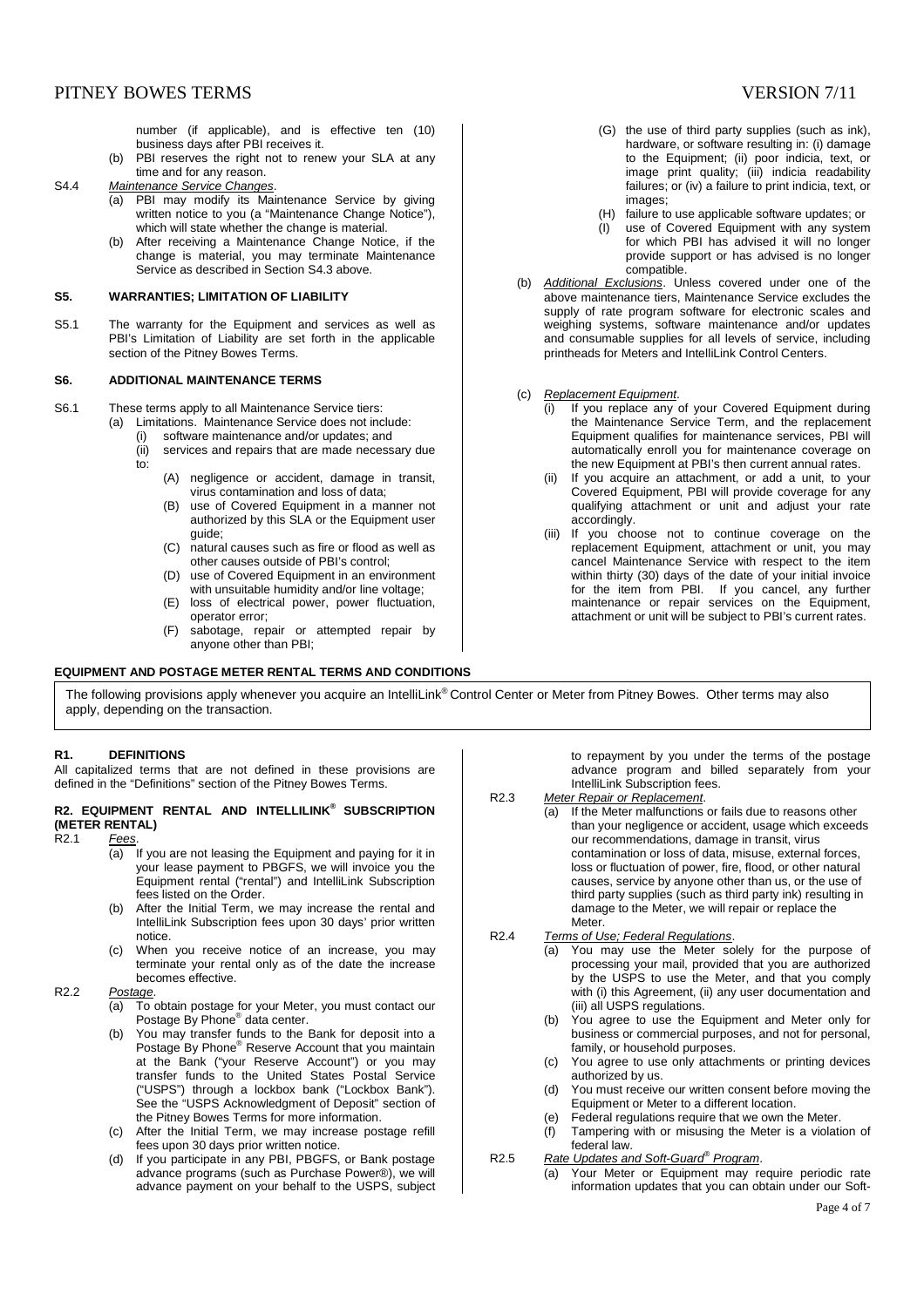number (if applicable), and is effective ten (10) business days after PBI receives it.

- (b) PBI reserves the right not to renew your SLA at any time and for any reason.
- S4.4 Maintenance Service Changes.
	- (a) PBI may modify its Maintenance Service by giving written notice to you (a "Maintenance Change Notice"), which will state whether the change is material.
	- (b) After receiving a Maintenance Change Notice, if the change is material, you may terminate Maintenance Service as described in Section S4.3 above.

## **S5. WARRANTIES; LIMITATION OF LIABILITY**

S5.1 The warranty for the Equipment and services as well as PBI's Limitation of Liability are set forth in the applicable section of the Pitney Bowes Terms.

## **S6. ADDITIONAL MAINTENANCE TERMS**

S6.1 These terms apply to all Maintenance Service tiers:

- (a) Limitations. Maintenance Service does not include:
	- (i) software maintenance and/or updates; and<br>(ii) services and repairs that are made necess
	- services and repairs that are made necessary due to:
		- (A) negligence or accident, damage in transit, virus contamination and loss of data;
		- (B) use of Covered Equipment in a manner not authorized by this SLA or the Equipment user guide;
		- (C) natural causes such as fire or flood as well as other causes outside of PBI's control;
		- (D) use of Covered Equipment in an environment with unsuitable humidity and/or line voltage;
		- (E) loss of electrical power, power fluctuation, operator error;
		- (F) sabotage, repair or attempted repair by anyone other than PBI;

### **EQUIPMENT AND POSTAGE METER RENTAL TERMS AND CONDITIONS**

- (G) the use of third party supplies (such as ink), hardware, or software resulting in: (i) damage to the Equipment; (ii) poor indicia, text, or image print quality; (iii) indicia readability failures; or (iv) a failure to print indicia, text, or images;
- (H) failure to use applicable software updates; or<br>(I) use of Covered Faujoment with any system use of Covered Equipment with any system for which PBI has advised it will no longer provide support or has advised is no longer compatible.
- (b) Additional Exclusions. Unless covered under one of the above maintenance tiers, Maintenance Service excludes the supply of rate program software for electronic scales and weighing systems, software maintenance and/or updates and consumable supplies for all levels of service, including printheads for Meters and IntelliLink Control Centers.
- (c) Replacement Equipment.
	- (i) If you replace any of your Covered Equipment during the Maintenance Service Term, and the replacement Equipment qualifies for maintenance services, PBI will automatically enroll you for maintenance coverage on the new Equipment at PBI's then current annual rates.
	- (ii) If you acquire an attachment, or add a unit, to your Covered Equipment, PBI will provide coverage for any qualifying attachment or unit and adjust your rate accordingly.
	- (iii) If you choose not to continue coverage on the replacement Equipment, attachment or unit, you may cancel Maintenance Service with respect to the item within thirty (30) days of the date of your initial invoice for the item from PBI. If you cancel, any further maintenance or repair services on the Equipment, attachment or unit will be subject to PBI's current rates.

The following provisions apply whenever you acquire an IntelliLink® Control Center or Meter from Pitney Bowes. Other terms may also apply, depending on the transaction.

# **R1. DEFINITIONS**

All capitalized terms that are not defined in these provisions are defined in the "Definitions" section of the Pitney Bowes Terms.

# **R2. EQUIPMENT RENTAL AND INTELLILINK® SUBSCRIPTION (METER RENTAL)**

R<sub>2.1</sub> Fees.

- (a) If you are not leasing the Equipment and paying for it in your lease payment to PBGFS, we will invoice you the Equipment rental ("rental") and IntelliLink Subscription fees listed on the Order.
- (b) After the Initial Term, we may increase the rental and IntelliLink Subscription fees upon 30 days' prior written notice.
- (c) When you receive notice of an increase, you may terminate your rental only as of the date the increase becomes effective.

### R2.2 Postage.

- (a) To obtain postage for your Meter, you must contact our Postage By Phone® data center.
- (b) You may transfer funds to the Bank for deposit into a Postage By Phone® Reserve Account that you maintain at the Bank ("your Reserve Account") or you may transfer funds to the United States Postal Service ("USPS") through a lockbox bank ("Lockbox Bank"). See the "USPS Acknowledgment of Deposit" section of the Pitney Bowes Terms for more information.
- (c) After the Initial Term, we may increase postage refill fees upon 30 days prior written notice.
- (d) If you participate in any PBI, PBGFS, or Bank postage advance programs (such as Purchase Power®), we will advance payment on your behalf to the USPS, subject

to repayment by you under the terms of the postage advance program and billed separately from your IntelliLink Subscription fees.

- R2.3 Meter Repair or Replacement. (a) If the Meter malfunctions or fails due to reasons other than your negligence or accident, usage which exceeds our recommendations, damage in transit, virus contamination or loss of data, misuse, external forces, loss or fluctuation of power, fire, flood, or other natural causes, service by anyone other than us, or the use of third party supplies (such as third party ink) resulting in damage to the Meter, we will repair or replace the Meter.
- R2.4 Terms of Use; Federal Regulations.
	- (a) You may use the Meter solely for the purpose of processing your mail, provided that you are authorized by the USPS to use the Meter, and that you comply with (i) this Agreement, (ii) any user documentation and (iii) all USPS regulations.
	- (b) You agree to use the Equipment and Meter only for business or commercial purposes, and not for personal, family, or household purposes.
	- (c) You agree to use only attachments or printing devices authorized by us.
	- (d) You must receive our written consent before moving the Equipment or Meter to a different location.
	- (e) Federal regulations require that we own the Meter.
	- (f) Tampering with or misusing the Meter is a violation of federal law.
- R2.5 Rate Updates and Soft-Guard® Program.
	- (a) Your Meter or Equipment may require periodic rate information updates that you can obtain under our Soft-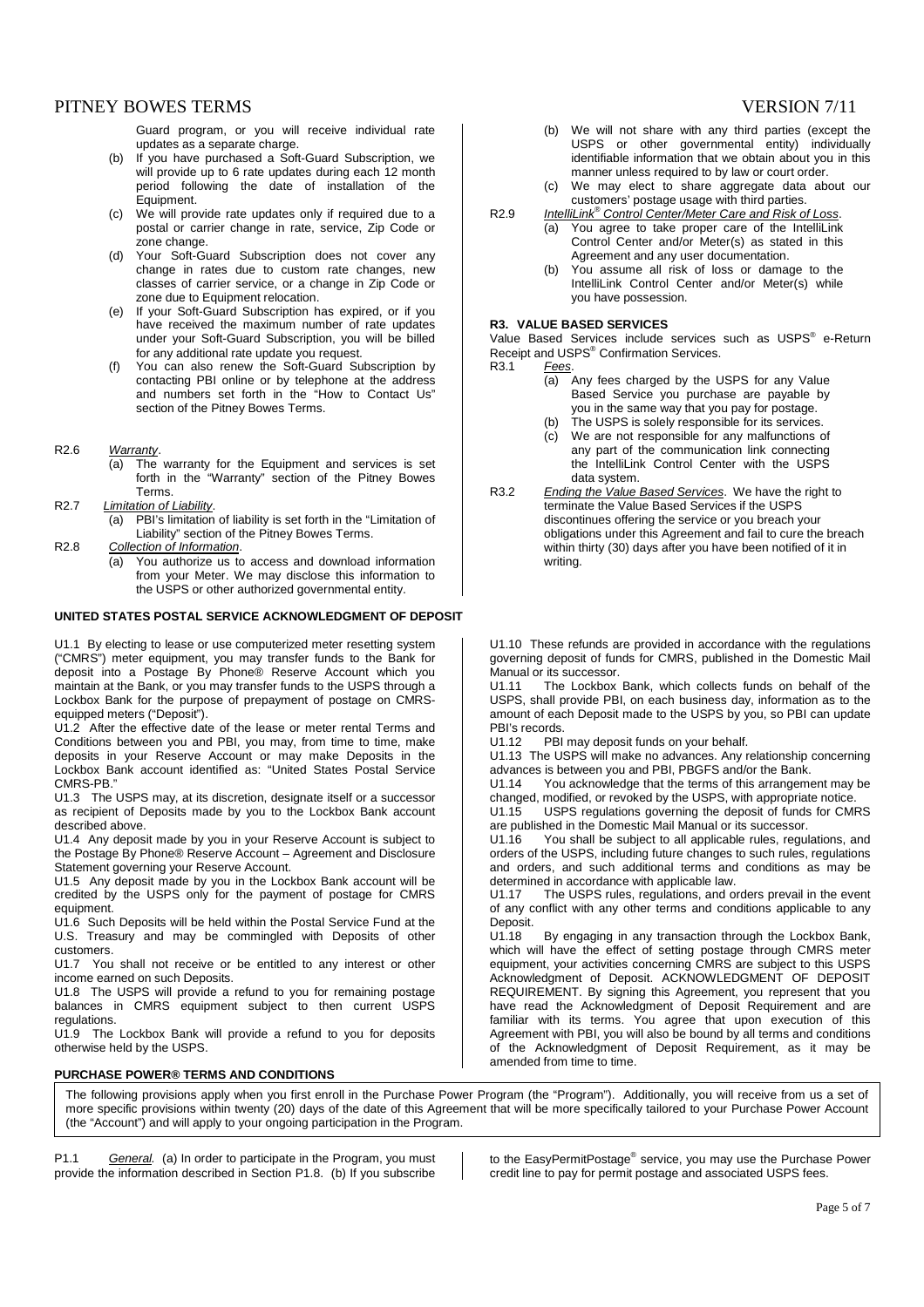# PITNEY BOWES TERMS SERIES AND RESIDENT TO A 200 FOR STREET AND RESIDENT TO A 200 FOR STREET AND RESIDENT TO A 200 FOR STREET AND RESIDENT TO A 200 FOR STREET AND RESIDENT TO A 200 FOR STREET AND RESIDENT TO A 200 FOR STREE

Guard program, or you will receive individual rate updates as a separate charge.

- (b) If you have purchased a Soft-Guard Subscription, we will provide up to 6 rate updates during each 12 month period following the date of installation of the .<br>Equipment.
- (c) We will provide rate updates only if required due to a postal or carrier change in rate, service, Zip Code or zone change.
- (d) Your Soft-Guard Subscription does not cover any change in rates due to custom rate changes, new classes of carrier service, or a change in Zip Code or zone due to Equipment relocation.
- (e) If your Soft-Guard Subscription has expired, or if you have received the maximum number of rate updates under your Soft-Guard Subscription, you will be billed for any additional rate update you request.
- (f) You can also renew the Soft-Guard Subscription by contacting PBI online or by telephone at the address and numbers set forth in the "How to Contact Us" section of the Pitney Bowes Terms.
- R2.6 Warranty.
	- (a) The warranty for the Equipment and services is set forth in the "Warranty" section of the Pitney Bowes Terms.
- R2.7 Limitation of Liability.<br>(a) PBI's limitation
	- PBI's limitation of liability is set forth in the "Limitation of Liability" section of the Pitney Bowes Terms.
- R2.8 Collection of Information.
	- (a) You authorize us to access and download information from your Meter. We may disclose this information to the USPS or other authorized governmental entity.

# **UNITED STATES POSTAL SERVICE ACKNOWLEDGMENT OF DEPOSIT**

U1.1 By electing to lease or use computerized meter resetting system ("CMRS") meter equipment, you may transfer funds to the Bank for deposit into a Postage By Phone® Reserve Account which you maintain at the Bank, or you may transfer funds to the USPS through a Lockbox Bank for the purpose of prepayment of postage on CMRSequipped meters ("Deposit").

U1.2 After the effective date of the lease or meter rental Terms and Conditions between you and PBI, you may, from time to time, make deposits in your Reserve Account or may make Deposits in the Lockbox Bank account identified as: "United States Postal Service CMRS-PB."

U1.3 The USPS may, at its discretion, designate itself or a successor as recipient of Deposits made by you to the Lockbox Bank account described above.

U1.4 Any deposit made by you in your Reserve Account is subject to the Postage By Phone® Reserve Account – Agreement and Disclosure Statement governing your Reserve Account.

U1.5 Any deposit made by you in the Lockbox Bank account will be credited by the USPS only for the payment of postage for CMRS equipment.

U1.6 Such Deposits will be held within the Postal Service Fund at the U.S. Treasury and may be commingled with Deposits of other customers.

U1.7 You shall not receive or be entitled to any interest or other income earned on such Deposits.

U1.8 The USPS will provide a refund to you for remaining postage balances in CMRS equipment subject to then current USPS regulations.

U1.9 The Lockbox Bank will provide a refund to you for deposits otherwise held by the USPS.

## **PURCHASE POWER® TERMS AND CONDITIONS**

- (b) We will not share with any third parties (except the USPS or other governmental entity) individually identifiable information that we obtain about you in this manner unless required to by law or court order.
- (c) We may elect to share aggregate data about our customers' postage usage with third parties.
- R2.9 IntelliLink<sup>®</sup> Control Center/Meter Care and Risk of Loss. (a) You agree to take proper care of the IntelliLink Control Center and/or Meter(s) as stated in this
	- Agreement and any user documentation. (b) You assume all risk of loss or damage to the
		- IntelliLink Control Center and/or Meter(s) while you have possession.

### **R3. VALUE BASED SERVICES**

Value Based Services include services such as USPS<sup>®</sup> e-Return Receipt and USPS<sup>®</sup> Confirmation Services. R3.1 Fees.

- (a) Any fees charged by the USPS for any Value Based Service you purchase are payable by you in the same way that you pay for postage.
- (b) The USPS is solely responsible for its services.
- (c) We are not responsible for any malfunctions of any part of the communication link connecting the IntelliLink Control Center with the USPS data system.
- R3.2 Ending the Value Based Services. We have the right to terminate the Value Based Services if the USPS discontinues offering the service or you breach your obligations under this Agreement and fail to cure the breach within thirty (30) days after you have been notified of it in writing.

U1.10 These refunds are provided in accordance with the regulations governing deposit of funds for CMRS, published in the Domestic Mail Manual or its successor.

U1.11 The Lockbox Bank, which collects funds on behalf of the USPS, shall provide PBI, on each business day, information as to the amount of each Deposit made to the USPS by you, so PBI can update PBI's records.<br>U1.12 PBI

PBI may deposit funds on your behalf.

U1.13 The USPS will make no advances. Any relationship concerning advances is between you and PBI, PBGFS and/or the Bank.

U1.14 You acknowledge that the terms of this arrangement may be changed, modified, or revoked by the USPS, with appropriate notice.<br>U11.15 USPS requilations governing the deposit of funds for CMF

USPS regulations governing the deposit of funds for CMRS are published in the Domestic Mail Manual or its successor.

U1.16 You shall be subject to all applicable rules, regulations, and orders of the USPS, including future changes to such rules, regulations and orders, and such additional terms and conditions as may be determined in accordance with applicable law.

U1.17 The USPS rules, regulations, and orders prevail in the event of any conflict with any other terms and conditions applicable to any Deposit.

U1.18 By engaging in any transaction through the Lockbox Bank, which will have the effect of setting postage through CMRS meter equipment, your activities concerning CMRS are subject to this USPS Acknowledgment of Deposit. ACKNOWLEDGMENT OF DEPOSIT REQUIREMENT. By signing this Agreement, you represent that you have read the Acknowledgment of Deposit Requirement and are familiar with its terms. You agree that upon execution of this Agreement with PBI, you will also be bound by all terms and conditions of the Acknowledgment of Deposit Requirement, as it may be amended from time to time.

The following provisions apply when you first enroll in the Purchase Power Program (the "Program"). Additionally, you will receive from us a set of more specific provisions within twenty (20) days of the date of this Agreement that will be more specifically tailored to your Purchase Power Account (the "Account") and will apply to your ongoing participation in the Program.

P1.1 General. (a) In order to participate in the Program, you must provide the information described in Section P1.8. (b) If you subscribe

to the EasyPermitPostage® service, you may use the Purchase Power credit line to pay for permit postage and associated USPS fees.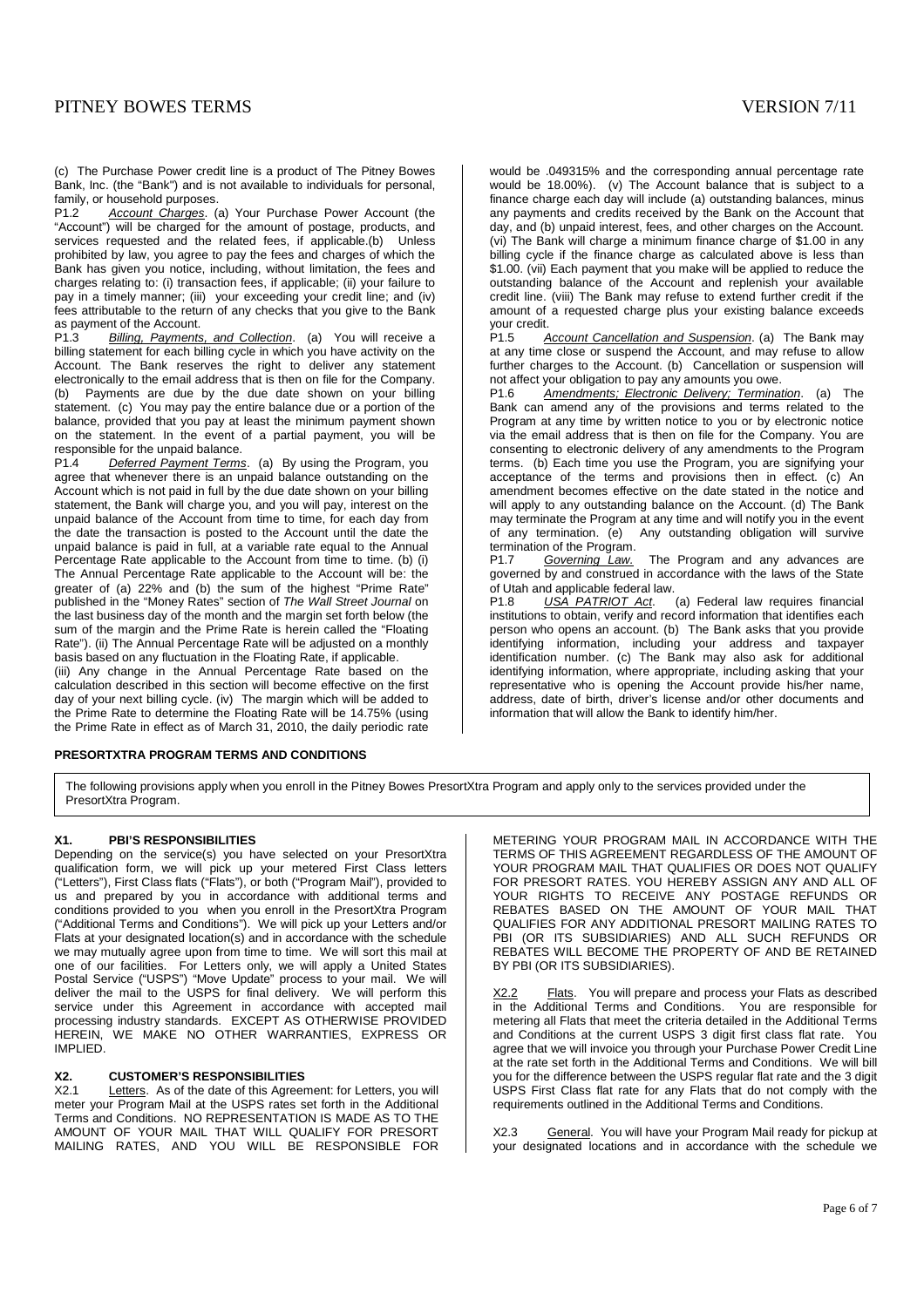# PITNEY BOWES TERMS VERSION 7/11

(c) The Purchase Power credit line is a product of The Pitney Bowes Bank, Inc. (the "Bank") and is not available to individuals for personal, family, or household purposes.<br>P1.2 Account Charges. (

Account Charges. (a) Your Purchase Power Account (the "Account") will be charged for the amount of postage, products, and services requested and the related fees, if applicable.(b) Unless prohibited by law, you agree to pay the fees and charges of which the Bank has given you notice, including, without limitation, the fees and charges relating to: (i) transaction fees, if applicable; (ii) your failure to pay in a timely manner; (iii) your exceeding your credit line; and (iv) fees attributable to the return of any checks that you give to the Bank as payment of the Account.<br>P1.3. Billing Payments

Billing, Payments, and Collection. (a) You will receive a billing statement for each billing cycle in which you have activity on the Account. The Bank reserves the right to deliver any statement electronically to the email address that is then on file for the Company. (b) Payments are due by the due date shown on your billing statement. (c) You may pay the entire balance due or a portion of the balance, provided that you pay at least the minimum payment shown on the statement. In the event of a partial payment, you will be responsible for the unpaid balance.<br>P1.4 Deferred Payment Terms

Deferred Payment Terms. (a) By using the Program, you agree that whenever there is an unpaid balance outstanding on the Account which is not paid in full by the due date shown on your billing statement, the Bank will charge you, and you will pay, interest on the unpaid balance of the Account from time to time, for each day from the date the transaction is posted to the Account until the date the unpaid balance is paid in full, at a variable rate equal to the Annual Percentage Rate applicable to the Account from time to time. (b) (i) The Annual Percentage Rate applicable to the Account will be: the greater of (a) 22% and (b) the sum of the highest "Prime Rate" published in the "Money Rates" section of The Wall Street Journal on the last business day of the month and the margin set forth below (the sum of the margin and the Prime Rate is herein called the "Floating Rate"). (ii) The Annual Percentage Rate will be adjusted on a monthly basis based on any fluctuation in the Floating Rate, if applicable.

(iii) Any change in the Annual Percentage Rate based on the calculation described in this section will become effective on the first day of your next billing cycle. (iv) The margin which will be added to the Prime Rate to determine the Floating Rate will be 14.75% (using the Prime Rate in effect as of March 31, 2010, the daily periodic rate

# **PRESORTXTRA PROGRAM TERMS AND CONDITIONS**

would be .049315% and the corresponding annual percentage rate would be 18.00%). (v) The Account balance that is subject to a finance charge each day will include (a) outstanding balances, minus any payments and credits received by the Bank on the Account that day, and (b) unpaid interest, fees, and other charges on the Account. (vi) The Bank will charge a minimum finance charge of \$1.00 in any billing cycle if the finance charge as calculated above is less than \$1.00. (vii) Each payment that you make will be applied to reduce the outstanding balance of the Account and replenish your available credit line. (viii) The Bank may refuse to extend further credit if the amount of a requested charge plus your existing balance exceeds your credit.<br>P1.5

Account Cancellation and Suspension. (a) The Bank may at any time close or suspend the Account, and may refuse to allow further charges to the Account. (b) Cancellation or suspension will not affect your obligation to pay any amounts you owe.<br>P1.6 Amendments: Flectronic Delivery: Terminat

*Amendments: Electronic Delivery: Termination*. (a) The Bank can amend any of the provisions and terms related to the Program at any time by written notice to you or by electronic notice via the email address that is then on file for the Company. You are consenting to electronic delivery of any amendments to the Program terms. (b) Each time you use the Program, you are signifying your acceptance of the terms and provisions then in effect. (c) An amendment becomes effective on the date stated in the notice and will apply to any outstanding balance on the Account. (d) The Bank may terminate the Program at any time and will notify you in the event of any termination. (e) Any outstanding obligation will survive termination of the Program.

P1.7 Governing Law. The Program and any advances are governed by and construed in accordance with the laws of the State of Utah and applicable federal law.<br>P1.8 USA PATRIOT Act.

(a) Federal law requires financial institutions to obtain, verify and record information that identifies each person who opens an account. (b) The Bank asks that you provide identifying information, including your address and taxpayer identification number. (c) The Bank may also ask for additional identifying information, where appropriate, including asking that your representative who is opening the Account provide his/her name, address, date of birth, driver's license and/or other documents and information that will allow the Bank to identify him/her.

The following provisions apply when you enroll in the Pitney Bowes PresortXtra Program and apply only to the services provided under the PresortXtra Program.

# **X1. PBI'S RESPONSIBILITIES**

Depending on the service(s) you have selected on your PresortXtra qualification form, we will pick up your metered First Class letters ("Letters"), First Class flats ("Flats"), or both ("Program Mail"), provided to us and prepared by you in accordance with additional terms and conditions provided to you when you enroll in the PresortXtra Program ("Additional Terms and Conditions"). We will pick up your Letters and/or Flats at your designated location(s) and in accordance with the schedule we may mutually agree upon from time to time. We will sort this mail at one of our facilities. For Letters only, we will apply a United States Postal Service ("USPS") "Move Update" process to your mail. We will deliver the mail to the USPS for final delivery. We will perform this service under this Agreement in accordance with accepted mail processing industry standards. EXCEPT AS OTHERWISE PROVIDED HEREIN, WE MAKE NO OTHER WARRANTIES, EXPRESS OR IMPLIED.

# **X2. CUSTOMER'S RESPONSIBILITIES**

X2.1 Letters. As of the date of this Agreement: for Letters, you will meter your Program Mail at the USPS rates set forth in the Additional Terms and Conditions. NO REPRESENTATION IS MADE AS TO THE AMOUNT OF YOUR MAIL THAT WILL QUALIFY FOR PRESORT MAILING RATES, AND YOU WILL BE RESPONSIBLE FOR METERING YOUR PROGRAM MAIL IN ACCORDANCE WITH THE TERMS OF THIS AGREEMENT REGARDLESS OF THE AMOUNT OF YOUR PROGRAM MAIL THAT QUALIFIES OR DOES NOT QUALIFY FOR PRESORT RATES. YOU HEREBY ASSIGN ANY AND ALL OF YOUR RIGHTS TO RECEIVE ANY POSTAGE REFUNDS OR REBATES BASED ON THE AMOUNT OF YOUR MAIL THAT QUALIFIES FOR ANY ADDITIONAL PRESORT MAILING RATES TO PBI (OR ITS SUBSIDIARIES) AND ALL SUCH REFUNDS OR REBATES WILL BECOME THE PROPERTY OF AND BE RETAINED BY PBI (OR ITS SUBSIDIARIES).

X2.2 Flats. You will prepare and process your Flats as described in the Additional Terms and Conditions. You are responsible for metering all Flats that meet the criteria detailed in the Additional Terms and Conditions at the current USPS 3 digit first class flat rate. You agree that we will invoice you through your Purchase Power Credit Line at the rate set forth in the Additional Terms and Conditions. We will bill you for the difference between the USPS regular flat rate and the 3 digit USPS First Class flat rate for any Flats that do not comply with the requirements outlined in the Additional Terms and Conditions.

General. You will have your Program Mail ready for pickup at your designated locations and in accordance with the schedule we